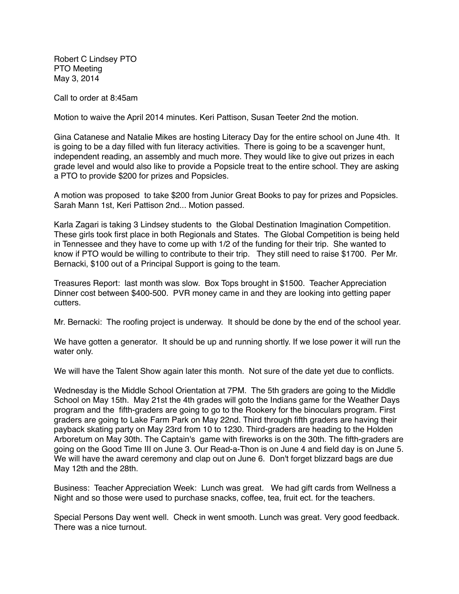Robert C Lindsey PTO PTO Meeting May 3, 2014

Call to order at 8:45am

Motion to waive the April 2014 minutes. Keri Pattison, Susan Teeter 2nd the motion.

Gina Catanese and Natalie Mikes are hosting Literacy Day for the entire school on June 4th. It is going to be a day filled with fun literacy activities. There is going to be a scavenger hunt, independent reading, an assembly and much more. They would like to give out prizes in each grade level and would also like to provide a Popsicle treat to the entire school. They are asking a PTO to provide \$200 for prizes and Popsicles.

A motion was proposed to take \$200 from Junior Great Books to pay for prizes and Popsicles. Sarah Mann 1st, Keri Pattison 2nd... Motion passed.

Karla Zagari is taking 3 Lindsey students to the Global Destination Imagination Competition. These girls took first place in both Regionals and States. The Global Competition is being held in Tennessee and they have to come up with 1/2 of the funding for their trip. She wanted to know if PTO would be willing to contribute to their trip. They still need to raise \$1700. Per Mr. Bernacki, \$100 out of a Principal Support is going to the team.

Treasures Report: last month was slow. Box Tops brought in \$1500. Teacher Appreciation Dinner cost between \$400-500. PVR money came in and they are looking into getting paper cutters.

Mr. Bernacki: The roofing project is underway. It should be done by the end of the school year.

We have gotten a generator. It should be up and running shortly. If we lose power it will run the water only.

We will have the Talent Show again later this month. Not sure of the date yet due to conflicts.

Wednesday is the Middle School Orientation at 7PM. The 5th graders are going to the Middle School on May 15th. May 21st the 4th grades will goto the Indians game for the Weather Days program and the fifth-graders are going to go to the Rookery for the binoculars program. First graders are going to Lake Farm Park on May 22nd. Third through fifth graders are having their payback skating party on May 23rd from 10 to 1230. Third-graders are heading to the Holden Arboretum on May 30th. The Captain's game with fireworks is on the 30th. The fifth-graders are going on the Good Time III on June 3. Our Read-a-Thon is on June 4 and field day is on June 5. We will have the award ceremony and clap out on June 6. Don't forget blizzard bags are due May 12th and the 28th.

Business: Teacher Appreciation Week: Lunch was great. We had gift cards from Wellness a Night and so those were used to purchase snacks, coffee, tea, fruit ect. for the teachers.

Special Persons Day went well. Check in went smooth. Lunch was great. Very good feedback. There was a nice turnout.